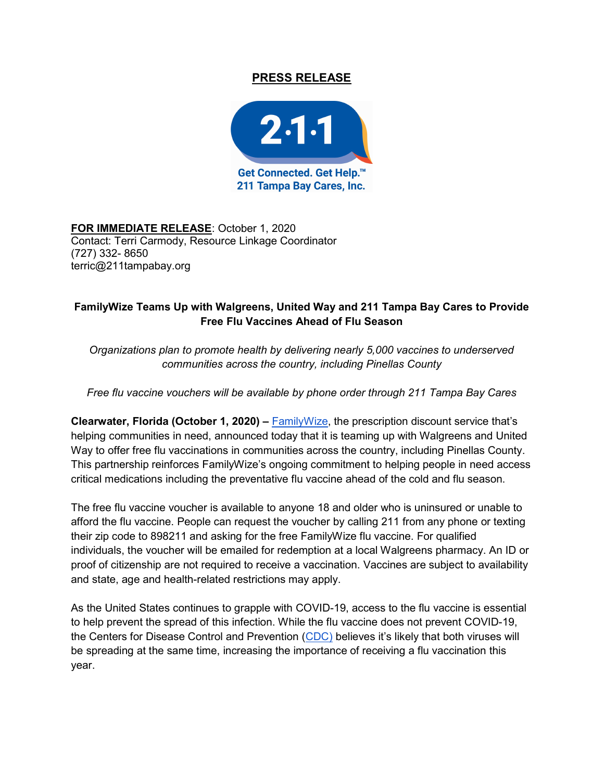## PRESS RELEASE



FOR IMMEDIATE RELEASE: October 1, 2020 Contact: Terri Carmody, Resource Linkage Coordinator (727) 332- 8650 terric@211tampabay.org

## FamilyWize Teams Up with Walgreens, United Way and 211 Tampa Bay Cares to Provide Free Flu Vaccines Ahead of Flu Season

Organizations plan to promote health by delivering nearly 5,000 vaccines to underserved communities across the country, including Pinellas County

Free flu vaccine vouchers will be available by phone order through 211 Tampa Bay Cares

Clearwater, Florida (October 1, 2020) –  $FamilyWize$ , the prescription discount service that's helping communities in need, announced today that it is teaming up with Walgreens and United Way to offer free flu vaccinations in communities across the country, including Pinellas County. This partnership reinforces FamilyWize's ongoing commitment to helping people in need access critical medications including the preventative flu vaccine ahead of the cold and flu season.

The free flu vaccine voucher is available to anyone 18 and older who is uninsured or unable to afford the flu vaccine. People can request the voucher by calling 211 from any phone or texting their zip code to 898211 and asking for the free FamilyWize flu vaccine. For qualified individuals, the voucher will be emailed for redemption at a local Walgreens pharmacy. An ID or proof of citizenship are not required to receive a vaccination. Vaccines are subject to availability and state, age and health-related restrictions may apply.

As the United States continues to grapple with COVID-19, access to the flu vaccine is essential to help prevent the spread of this infection. While the flu vaccine does not prevent COVID-19, the Centers for Disease Control and Prevention (CDC) believes it's likely that both viruses will be spreading at the same time, increasing the importance of receiving a flu vaccination this year.